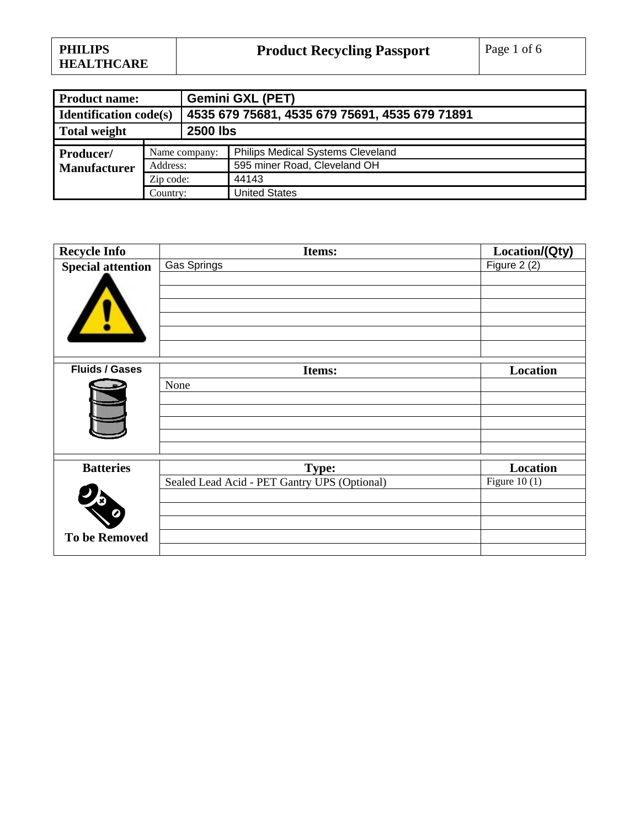| <b>Product name:</b>          |               | <b>Gemini GXL (PET)</b>                        |                                   |  |
|-------------------------------|---------------|------------------------------------------------|-----------------------------------|--|
| <b>Identification code(s)</b> |               | 4535 679 75681, 4535 679 75691, 4535 679 71891 |                                   |  |
| <b>Total weight</b>           |               | <b>2500 lbs</b>                                |                                   |  |
|                               |               |                                                |                                   |  |
| Producer/                     | Name company: |                                                | Philips Medical Systems Cleveland |  |
| <b>Manufacturer</b>           | Address:      |                                                | 595 miner Road, Cleveland OH      |  |
|                               | Zip code:     |                                                | 44143                             |  |
|                               | Country:      |                                                | <b>United States</b>              |  |

| <b>Recycle Info</b>      | Items:                                       | Location/(Qty)  |
|--------------------------|----------------------------------------------|-----------------|
| <b>Special attention</b> | Gas Springs                                  | Figure $2(2)$   |
|                          |                                              |                 |
| <b>Fluids / Gases</b>    | Items:                                       | Location        |
|                          | None                                         |                 |
|                          |                                              |                 |
|                          |                                              |                 |
|                          |                                              |                 |
| <b>Batteries</b>         | <b>Type:</b>                                 | <b>Location</b> |
|                          | Sealed Lead Acid - PET Gantry UPS (Optional) | Figure 10 $(1)$ |
|                          |                                              |                 |
|                          |                                              |                 |
| <b>To be Removed</b>     |                                              |                 |
|                          |                                              |                 |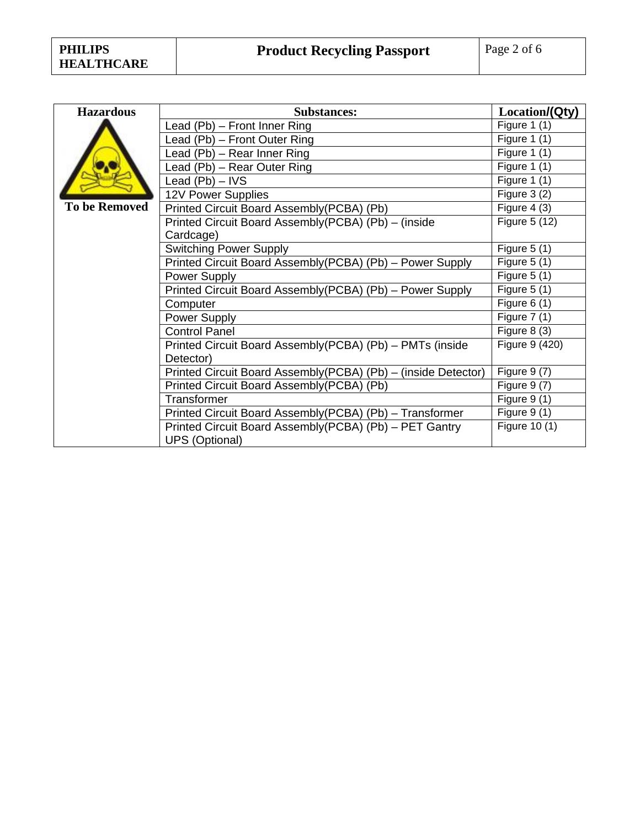| <b>Hazardous</b>     | <b>Substances:</b>                                            | Location/(Qty) |
|----------------------|---------------------------------------------------------------|----------------|
|                      | Lead (Pb) – Front Inner Ring                                  | Figure $1(1)$  |
|                      | Lead (Pb) – Front Outer Ring                                  | Figure 1 $(1)$ |
|                      | Lead (Pb) - Rear Inner Ring                                   | Figure $1(1)$  |
|                      | Lead (Pb) – Rear Outer Ring                                   | Figure $1(1)$  |
|                      | Lead (Pb) – IVS                                               | Figure 1 $(1)$ |
|                      | 12V Power Supplies                                            | Figure $3(2)$  |
| <b>To be Removed</b> | Printed Circuit Board Assembly(PCBA) (Pb)                     | Figure 4 $(3)$ |
|                      | Printed Circuit Board Assembly(PCBA) (Pb) - (inside           | Figure 5 (12)  |
|                      | Cardcage)                                                     |                |
|                      | <b>Switching Power Supply</b>                                 | Figure $5(1)$  |
|                      | Printed Circuit Board Assembly(PCBA) (Pb) - Power Supply      | Figure $5(1)$  |
|                      | Power Supply                                                  | Figure $5(1)$  |
|                      | Printed Circuit Board Assembly(PCBA) (Pb) - Power Supply      | Figure $5(1)$  |
|                      | Computer                                                      | Figure $6(1)$  |
|                      | Power Supply                                                  | Figure $7(1)$  |
|                      | <b>Control Panel</b>                                          | Figure 8 $(3)$ |
|                      | Printed Circuit Board Assembly(PCBA) (Pb) - PMTs (inside      | Figure 9 (420) |
|                      | Detector)                                                     |                |
|                      | Printed Circuit Board Assembly(PCBA) (Pb) - (inside Detector) | Figure $9(7)$  |
|                      | Printed Circuit Board Assembly(PCBA) (Pb)                     | Figure $9(7)$  |
|                      | Transformer                                                   | Figure $9(1)$  |
|                      | Printed Circuit Board Assembly(PCBA) (Pb) - Transformer       | Figure $9(1)$  |
|                      | Printed Circuit Board Assembly (PCBA) (Pb) - PET Gantry       | Figure 10 (1)  |
|                      | <b>UPS (Optional)</b>                                         |                |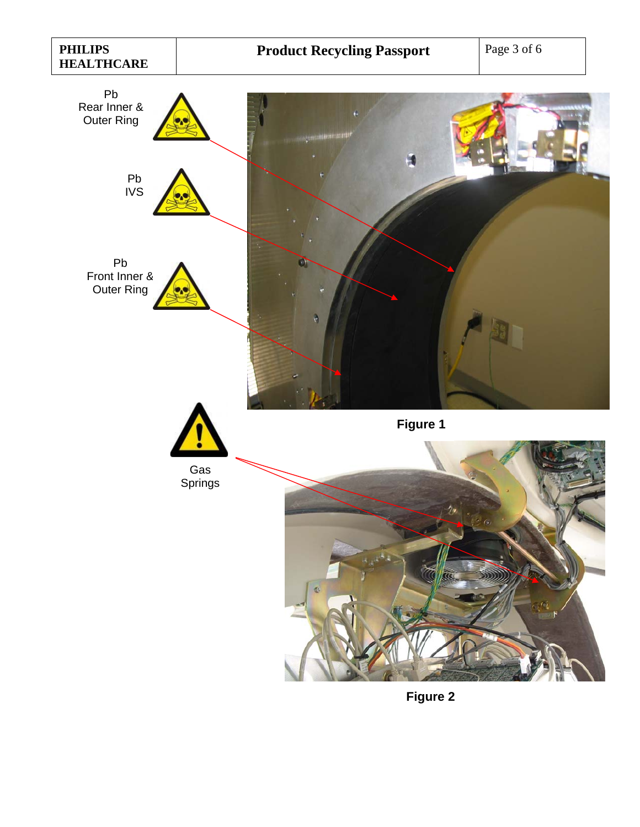

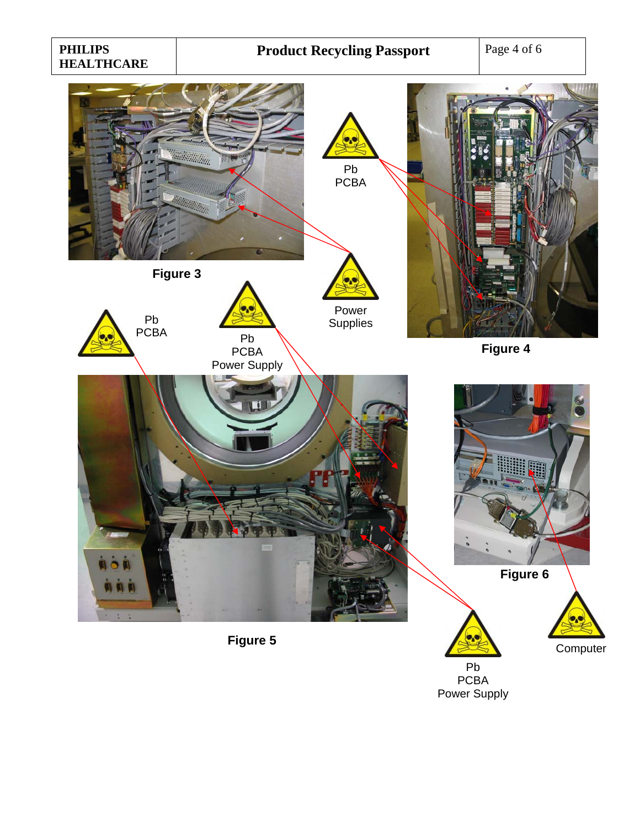## **PHILIPS HEALTHCARE**

## **Product Recycling Passport** Page 4 of 6



**Computer** 

Pb PCBA Power Supply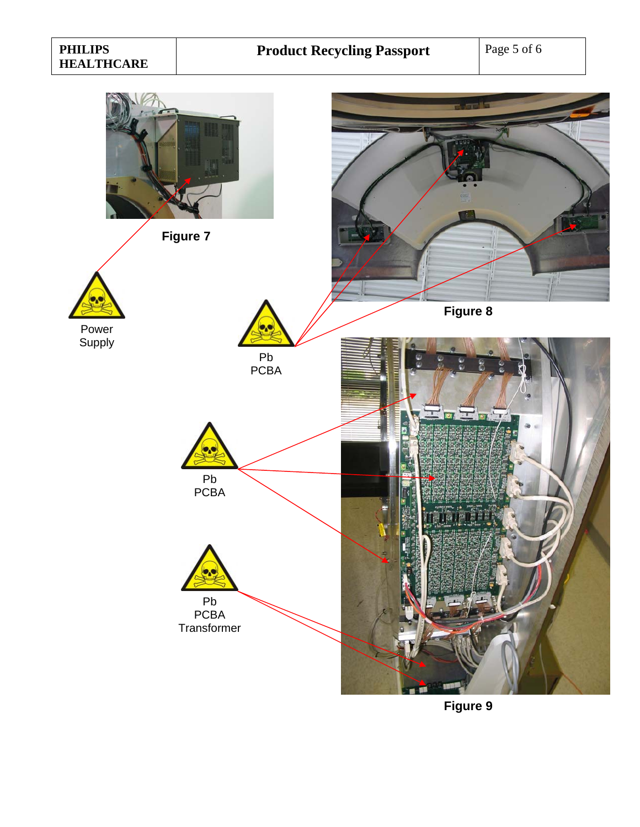

**Figure 9**